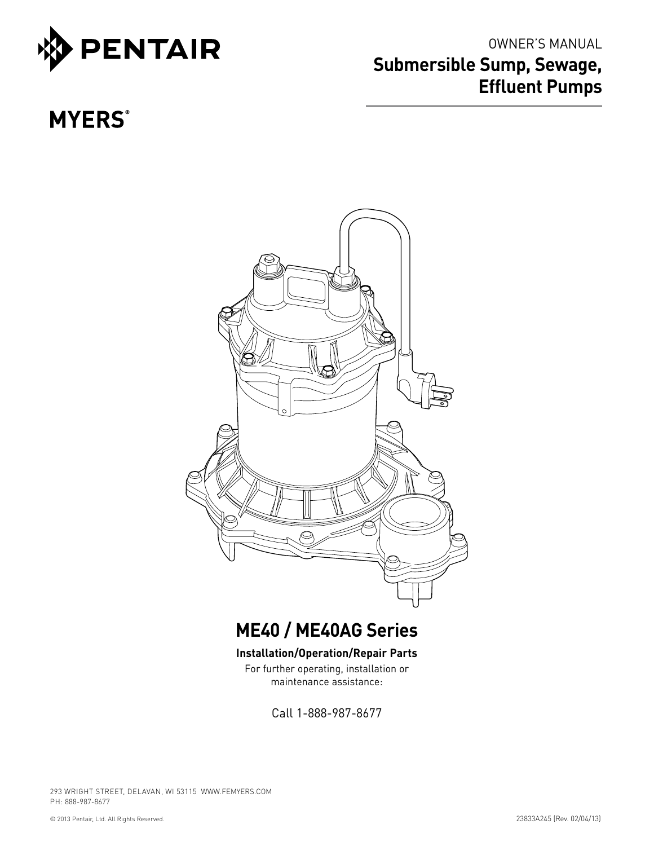

# OWNER'S MANUAL **Submersible Sump, Sewage, Effluent Pumps**

# **MYERS®**



# **ME40 / ME40AG Series**

#### **Installation/Operation/Repair Parts**

For further operating, installation or maintenance assistance:

Call 1-888-987-8677

293 WRIGHT STREET, DELAVAN, WI 53115 WWW.FEMYERS.COM PH: 888-987-8677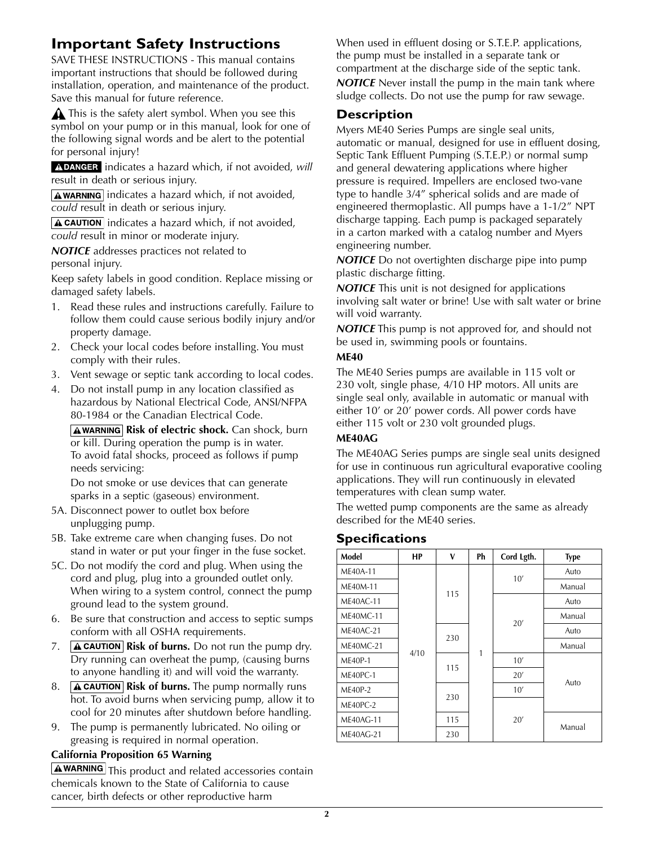## **Important Safety Instructions**

SAVE THESE INSTRUCTIONS - This manual contains important instructions that should be followed during installation, operation, and maintenance of the product. Save this manual for future reference.

 $\triangle$  This is the safety alert symbol. When you see this symbol on your pump or in this manual, look for one of the following signal words and be alert to the potential for personal injury!

A DANGER indicates a hazard which, if not avoided, will result in death or serious injury.

 $\sqrt{\text{A}$  WARNING indicates a hazard which, if not avoided, *could* result in death or serious injury.

 $\sqrt{\text{A CAUTION}}$  indicates a hazard which, if not avoided, *could* result in minor or moderate injury.

*NOTICE* addresses practices not related to personal injury.

Keep safety labels in good condition. Replace missing or damaged safety labels.

- 1. Read these rules and instructions carefully. Failure to follow them could cause serious bodily injury and/or property damage.
- 2. Check your local codes before installing. You must comply with their rules.
- 3. Vent sewage or septic tank according to local codes.
- 4. Do not install pump in any location classified as hazardous by National Electrical Code, ANSI/NFPA 80-1984 or the Canadian Electrical Code.

**AWARNING Risk of electric shock.** Can shock, burn or kill. During operation the pump is in water. To avoid fatal shocks, proceed as follows if pump needs servicing:

Do not smoke or use devices that can generate sparks in a septic (gaseous) environment.

- 5A. Disconnect power to outlet box before unplugging pump.
- 5B. Take extreme care when changing fuses. Do not stand in water or put your finger in the fuse socket.
- 5C. Do not modify the cord and plug. When using the cord and plug, plug into a grounded outlet only. When wiring to a system control, connect the pump ground lead to the system ground.
- 6. Be sure that construction and access to septic sumps conform with all OSHA requirements.
- 7. **A CAUTION** Risk of burns. Do not run the pump dry. Dry running can overheat the pump, (causing burns to anyone handling it) and will void the warranty.
- 8. **A CAUTION** Risk of burns. The pump normally runs hot. To avoid burns when servicing pump, allow it to cool for 20 minutes after shutdown before handling.
- 9. The pump is permanently lubricated. No oiling or greasing is required in normal operation.

#### **California Proposition 65 Warning**

A WARNING This product and related accessories contain chemicals known to the State of California to cause cancer, birth defects or other reproductive harm

When used in effluent dosing or S.T.E.P. applications, the pump must be installed in a separate tank or compartment at the discharge side of the septic tank. *NOTICE* Never install the pump in the main tank where sludge collects. Do not use the pump for raw sewage.

#### **Description**

Myers ME40 Series Pumps are single seal units, automatic or manual, designed for use in effluent dosing, Septic Tank Effluent Pumping (S.T.E.P.) or normal sump and general dewatering applications where higher pressure is required. Impellers are enclosed two-vane type to handle 3/4" spherical solids and are made of engineered thermoplastic. All pumps have a 1-1/2" NPT discharge tapping. Each pump is packaged separately in a carton marked with a catalog number and Myers engineering number.

*NOTICE* Do not overtighten discharge pipe into pump plastic discharge fitting.

*NOTICE* This unit is not designed for applications involving salt water or brine! Use with salt water or brine will void warranty.

*NOTICE* This pump is not approved for, and should not be used in, swimming pools or fountains.

#### **ME40**

The ME40 Series pumps are available in 115 volt or 230 volt, single phase, 4/10 HP motors. All units are single seal only, available in automatic or manual with either 10' or 20' power cords. All power cords have either 115 volt or 230 volt grounded plugs.

#### **ME40AG**

The ME40AG Series pumps are single seal units designed for use in continuous run agricultural evaporative cooling applications. They will run continuously in elevated temperatures with clean sump water.

The wetted pump components are the same as already described for the ME40 series.

#### **Specifications**

| Model            | <b>HP</b> | v   | Ph | Cord Lgth. | <b>Type</b> |  |  |  |  |  |  |  |     |
|------------------|-----------|-----|----|------------|-------------|--|--|--|--|--|--|--|-----|
| ME40A-11         |           | 115 |    | 10'        | Auto        |  |  |  |  |  |  |  |     |
| ME40M-11         |           |     |    |            | Manual      |  |  |  |  |  |  |  |     |
| <b>ME40AC-11</b> |           |     |    | 20'        | Auto        |  |  |  |  |  |  |  |     |
| <b>ME40MC-11</b> |           |     |    |            | Manual      |  |  |  |  |  |  |  |     |
| <b>ME40AC-21</b> |           |     |    |            | Auto        |  |  |  |  |  |  |  |     |
| <b>ME40MC-21</b> |           | 230 | 1  |            | Manual      |  |  |  |  |  |  |  |     |
| ME40P-1          | 4/10      | 115 |    | 10'        |             |  |  |  |  |  |  |  |     |
| ME40PC-1         |           |     |    |            |             |  |  |  |  |  |  |  | 20' |
| ME40P-2          |           |     |    | 10'        | Auto        |  |  |  |  |  |  |  |     |
| ME40PC-2         |           | 230 |    | 20'        |             |  |  |  |  |  |  |  |     |
| <b>ME40AG-11</b> |           | 115 |    |            |             |  |  |  |  |  |  |  |     |
| <b>ME40AG-21</b> |           | 230 |    |            | Manual      |  |  |  |  |  |  |  |     |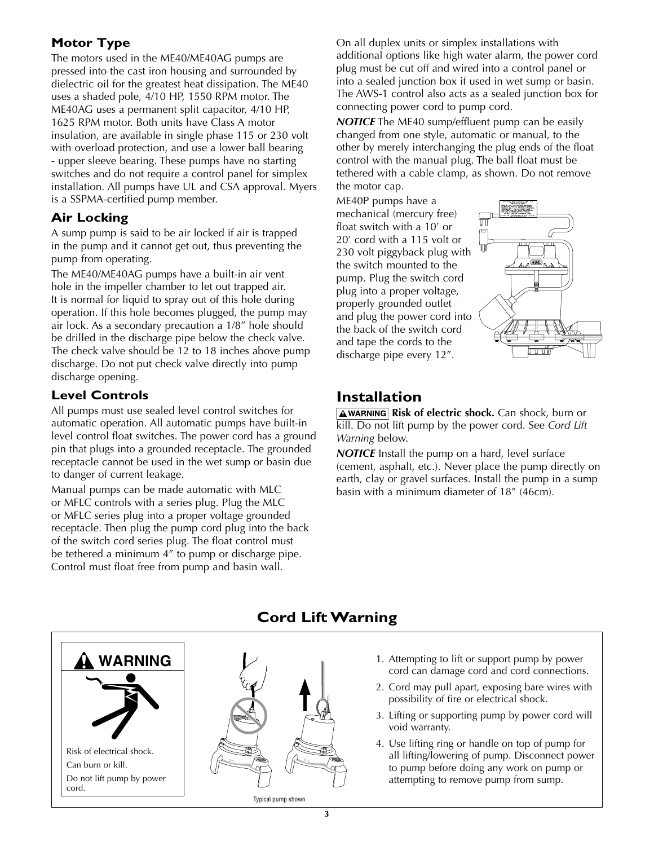## **Motor Type**

The motors used in the ME40/ME40AG pumps are pressed into the cast iron housing and surrounded by dielectric oil for the greatest heat dissipation. The ME40 uses a shaded pole, 4/10 HP, 1550 RPM motor. The ME40AG uses a permanent split capacitor, 4/10 HP, 1625 RPM motor. Both units have Class A motor insulation, are available in single phase 115 or 230 volt with overload protection, and use a lower ball bearing - upper sleeve bearing. These pumps have no starting switches and do not require a control panel for simplex installation. All pumps have UL and CSA approval. Myers is a SSPMA-certified pump member.

## **Air Locking**

A sump pump is said to be air locked if air is trapped in the pump and it cannot get out, thus preventing the pump from operating.

The ME40/ME40AG pumps have a built-in air vent hole in the impeller chamber to let out trapped air. It is normal for liquid to spray out of this hole during operation. If this hole becomes plugged, the pump may air lock. As a secondary precaution a 1/8" hole should be drilled in the discharge pipe below the check valve. The check valve should be 12 to 18 inches above pump discharge. Do not put check valve directly into pump discharge opening.

#### **Level Controls**

All pumps must use sealed level control switches for automatic operation. All automatic pumps have built-in level control float switches. The power cord has a ground pin that plugs into a grounded receptacle. The grounded receptacle cannot be used in the wet sump or basin due to danger of current leakage.

Manual pumps can be made automatic with MLC or MFLC controls with a series plug. Plug the MLC or MFLC series plug into a proper voltage grounded receptacle. Then plug the pump cord plug into the back of the switch cord series plug. The float control must be tethered a minimum 4" to pump or discharge pipe. Control must float free from pump and basin wall.

On all duplex units or simplex installations with additional options like high water alarm, the power cord plug must be cut off and wired into a control panel or into a sealed junction box if used in wet sump or basin. The AWS-1 control also acts as a sealed junction box for connecting power cord to pump cord.

*NOTICE* The ME40 sump/effluent pump can be easily changed from one style, automatic or manual, to the other by merely interchanging the plug ends of the float control with the manual plug. The ball float must be tethered with a cable clamp, as shown. Do not remove the motor cap.

ME40P pumps have a mechanical (mercury free) float switch with a 10' or 20' cord with a 115 volt or 230 volt piggyback plug with the switch mounted to the pump. Plug the switch cord plug into a proper voltage, properly grounded outlet and plug the power cord into the back of the switch cord and tape the cords to the discharge pipe every 12".



# **Installation**

**AWARNING Risk of electric shock.** Can shock, burn or kill. Do not lift pump by the power cord. See *Cord Lift Warning* below.

*NOTICE* Install the pump on a hard, level surface (cement, asphalt, etc.). Never place the pump directly on earth, clay or gravel surfaces. Install the pump in a sump basin with a minimum diameter of 18" (46cm).



Do not lift pump by power

cord.

## **Cord Lift Warning**

- 1. Attempting to lift or support pump by power cord can damage cord and cord connections.
- 2. Cord may pull apart, exposing bare wires with possibility of fire or electrical shock.
- 3. Lifting or supporting pump by power cord will void warranty.
- 4. Use lifting ring or handle on top of pump for all lifting/lowering of pump. Disconnect power to pump before doing any work on pump or attempting to remove pump from sump.

Typical pump shown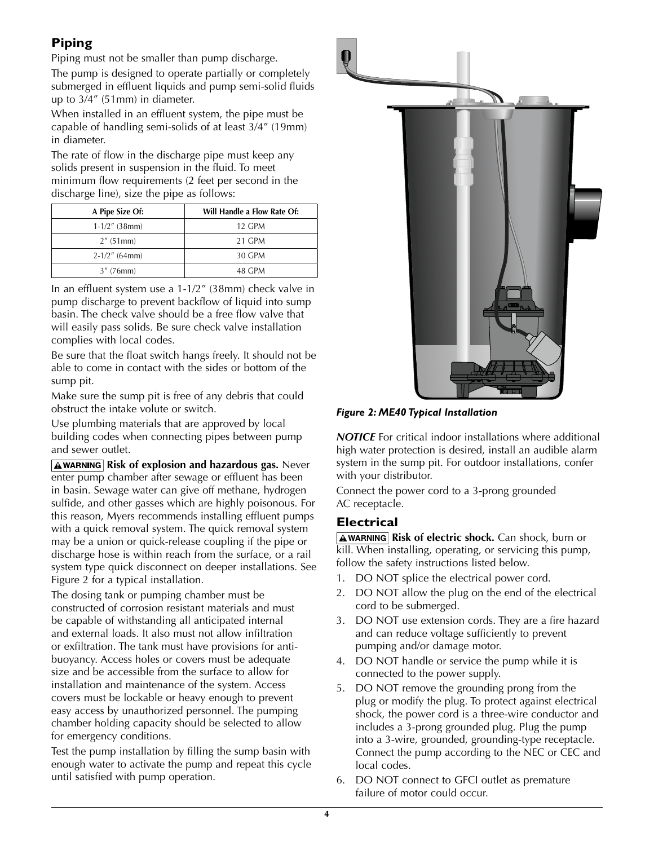## **Piping**

Piping must not be smaller than pump discharge.

The pump is designed to operate partially or completely submerged in effluent liquids and pump semi-solid fluids up to 3/4" (51mm) in diameter.

When installed in an effluent system, the pipe must be capable of handling semi-solids of at least 3/4" (19mm) in diameter.

The rate of flow in the discharge pipe must keep any solids present in suspension in the fluid. To meet minimum flow requirements (2 feet per second in the discharge line), size the pipe as follows:

| A Pipe Size Of:  | Will Handle a Flow Rate Of: |
|------------------|-----------------------------|
| $1-1/2$ " (38mm) | 12 GPM                      |
| $2''$ (51 mm)    | 21 GPM                      |
| $2-1/2$ " (64mm) | 30 GPM                      |
| $3''$ (76mm)     | 48 GPM                      |

In an effluent system use a 1-1/2" (38mm) check valve in pump discharge to prevent backflow of liquid into sump basin. The check valve should be a free flow valve that will easily pass solids. Be sure check valve installation complies with local codes.

Be sure that the float switch hangs freely. It should not be able to come in contact with the sides or bottom of the sump pit.

Make sure the sump pit is free of any debris that could obstruct the intake volute or switch.

Use plumbing materials that are approved by local building codes when connecting pipes between pump and sewer outlet.

**AWARNING Risk of explosion and hazardous gas.** Never enter pump chamber after sewage or effluent has been in basin. Sewage water can give off methane, hydrogen sulfide, and other gasses which are highly poisonous. For this reason, Myers recommends installing effluent pumps with a quick removal system. The quick removal system may be a union or quick-release coupling if the pipe or discharge hose is within reach from the surface, or a rail system type quick disconnect on deeper installations. See Figure 2 for a typical installation.

The dosing tank or pumping chamber must be constructed of corrosion resistant materials and must be capable of withstanding all anticipated internal and external loads. It also must not allow infiltration or exfiltration. The tank must have provisions for antibuoyancy. Access holes or covers must be adequate size and be accessible from the surface to allow for installation and maintenance of the system. Access covers must be lockable or heavy enough to prevent easy access by unauthorized personnel. The pumping chamber holding capacity should be selected to allow for emergency conditions.

Test the pump installation by filling the sump basin with enough water to activate the pump and repeat this cycle until satisfied with pump operation.





*NOTICE* For critical indoor installations where additional high water protection is desired, install an audible alarm system in the sump pit. For outdoor installations, confer with your distributor.

Connect the power cord to a 3-prong grounded AC receptacle.

#### **Electrical**

**AWARNING Risk of electric shock.** Can shock, burn or kill. When installing, operating, or servicing this pump, follow the safety instructions listed below.

- 1. DO NOT splice the electrical power cord.
- 2. DO NOT allow the plug on the end of the electrical cord to be submerged.
- 3. DO NOT use extension cords. They are a fire hazard and can reduce voltage sufficiently to prevent pumping and/or damage motor.
- 4. DO NOT handle or service the pump while it is connected to the power supply.
- 5. DO NOT remove the grounding prong from the plug or modify the plug. To protect against electrical shock, the power cord is a three-wire conductor and includes a 3-prong grounded plug. Plug the pump into a 3-wire, grounded, grounding-type receptacle. Connect the pump according to the NEC or CEC and local codes.
- 6. DO NOT connect to GFCI outlet as premature failure of motor could occur.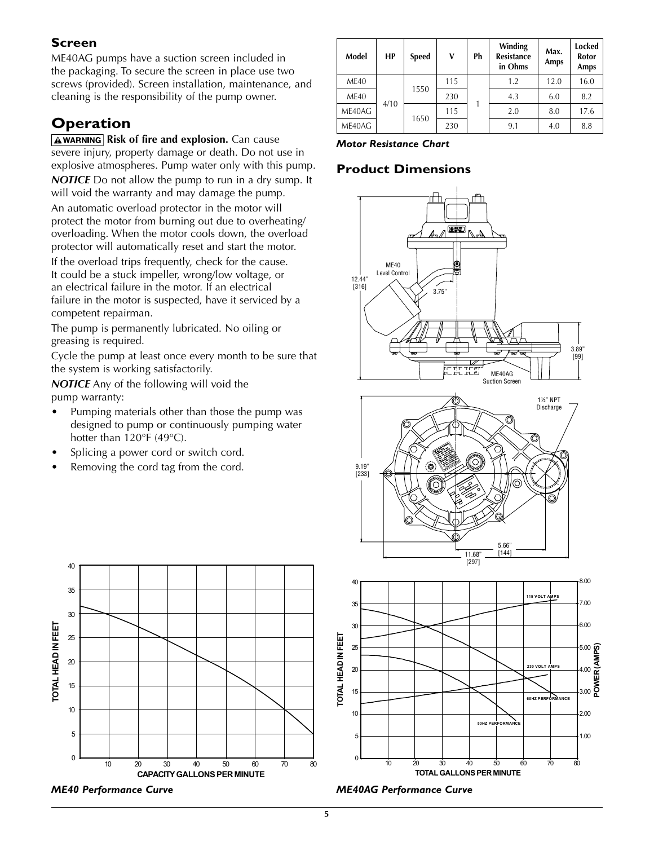#### **Screen**

ME40AG pumps have a suction screen included in the packaging. To secure the screen in place use two screws (provided). Screen installation, maintenance, and cleaning is the responsibility of the pump owner.

## **Operation**

**AWARNING Risk of fire and explosion.** Can cause severe injury, property damage or death. Do not use in explosive atmospheres. Pump water only with this pump. *NOTICE* Do not allow the pump to run in a dry sump. It

will void the warranty and may damage the pump.

An automatic overload protector in the motor will protect the motor from burning out due to overheating/ overloading. When the motor cools down, the overload protector will automatically reset and start the motor.

If the overload trips frequently, check for the cause. It could be a stuck impeller, wrong/low voltage, or an electrical failure in the motor. If an electrical failure in the motor is suspected, have it serviced by a competent repairman.

The pump is permanently lubricated. No oiling or greasing is required.

Cycle the pump at least once every month to be sure that the system is working satisfactorily.

*NOTICE* Any of the following will void the pump warranty:

- Pumping materials other than those the pump was designed to pump or continuously pumping water hotter than 120°F (49°C).
- Splicing a power cord or switch cord.
- Removing the cord tag from the cord.



*Motor Resistance Chart*

#### **Product Dimensions**









*ME40 Performance Curve*

**ME40AG Performance Curve**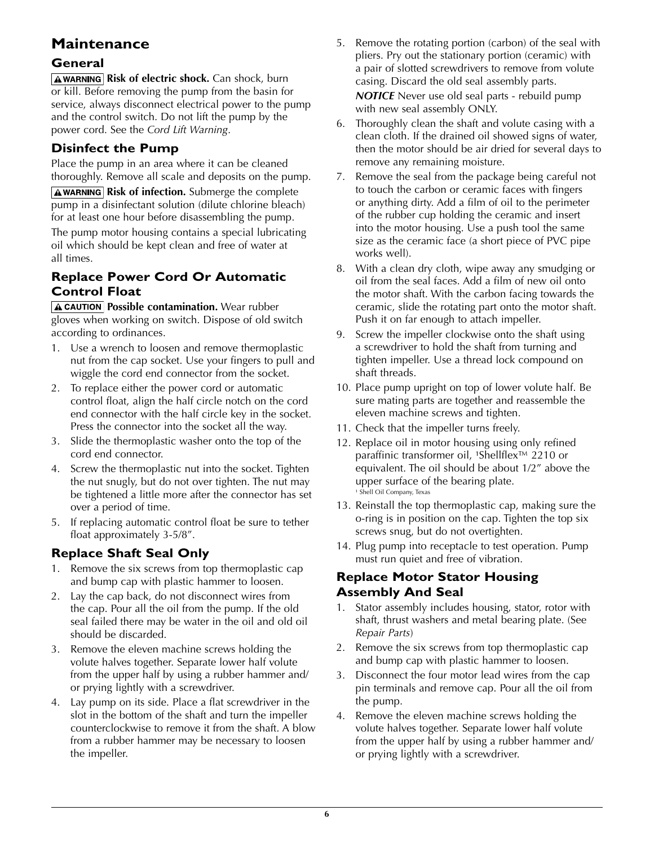## **Maintenance**

#### **General**

**AWARNING Risk of electric shock.** Can shock, burn or kill. Before removing the pump from the basin for service, always disconnect electrical power to the pump and the control switch. Do not lift the pump by the power cord. See the *Cord Lift Warning*.

### **Disinfect the Pump**

Place the pump in an area where it can be cleaned thoroughly. Remove all scale and deposits on the pump.

**AWARNING Risk of infection.** Submerge the complete pump in a disinfectant solution (dilute chlorine bleach) for at least one hour before disassembling the pump.

The pump motor housing contains a special lubricating oil which should be kept clean and free of water at all times.

#### **Replace Power Cord Or Automatic Control Float**

**A CAUTION Possible contamination.** Wear rubber gloves when working on switch. Dispose of old switch according to ordinances.

- 1. Use a wrench to loosen and remove thermoplastic nut from the cap socket. Use your fingers to pull and wiggle the cord end connector from the socket.
- 2. To replace either the power cord or automatic control float, align the half circle notch on the cord end connector with the half circle key in the socket. Press the connector into the socket all the way.
- 3. Slide the thermoplastic washer onto the top of the cord end connector.
- 4. Screw the thermoplastic nut into the socket. Tighten the nut snugly, but do not over tighten. The nut may be tightened a little more after the connector has set over a period of time.
- 5. If replacing automatic control float be sure to tether float approximately 3-5/8".

## **Replace Shaft Seal Only**

- 1. Remove the six screws from top thermoplastic cap and bump cap with plastic hammer to loosen.
- 2. Lay the cap back, do not disconnect wires from the cap. Pour all the oil from the pump. If the old seal failed there may be water in the oil and old oil should be discarded.
- 3. Remove the eleven machine screws holding the volute halves together. Separate lower half volute from the upper half by using a rubber hammer and/ or prying lightly with a screwdriver.
- 4. Lay pump on its side. Place a flat screwdriver in the slot in the bottom of the shaft and turn the impeller counterclockwise to remove it from the shaft. A blow from a rubber hammer may be necessary to loosen the impeller.
- 5. Remove the rotating portion (carbon) of the seal with pliers. Pry out the stationary portion (ceramic) with a pair of slotted screwdrivers to remove from volute casing. Discard the old seal assembly parts. *NOTICE* Never use old seal parts - rebuild pump with new seal assembly ONLY.
- 6. Thoroughly clean the shaft and volute casing with a clean cloth. If the drained oil showed signs of water, then the motor should be air dried for several days to remove any remaining moisture.
- 7. Remove the seal from the package being careful not to touch the carbon or ceramic faces with fingers or anything dirty. Add a film of oil to the perimeter of the rubber cup holding the ceramic and insert into the motor housing. Use a push tool the same size as the ceramic face (a short piece of PVC pipe works well).
- 8. With a clean dry cloth, wipe away any smudging or oil from the seal faces. Add a film of new oil onto the motor shaft. With the carbon facing towards the ceramic, slide the rotating part onto the motor shaft. Push it on far enough to attach impeller.
- 9. Screw the impeller clockwise onto the shaft using a screwdriver to hold the shaft from turning and tighten impeller. Use a thread lock compound on shaft threads.
- 10. Place pump upright on top of lower volute half. Be sure mating parts are together and reassemble the eleven machine screws and tighten.
- 11. Check that the impeller turns freely.
- 12. Replace oil in motor housing using only refined paraffinic transformer oil, <sup>1</sup>Shellflex™ 2210 or equivalent. The oil should be about 1/2" above the upper surface of the bearing plate. <sup>1</sup> Shell Oil Company, Texas
- 13. Reinstall the top thermoplastic cap, making sure the o-ring is in position on the cap. Tighten the top six screws snug, but do not overtighten.
- 14. Plug pump into receptacle to test operation. Pump must run quiet and free of vibration.

#### **Replace Motor Stator Housing Assembly And Seal**

- 1. Stator assembly includes housing, stator, rotor with shaft, thrust washers and metal bearing plate. (See *Repair Parts*)
- 2. Remove the six screws from top thermoplastic cap and bump cap with plastic hammer to loosen.
- 3. Disconnect the four motor lead wires from the cap pin terminals and remove cap. Pour all the oil from the pump.
- 4. Remove the eleven machine screws holding the volute halves together. Separate lower half volute from the upper half by using a rubber hammer and/ or prying lightly with a screwdriver.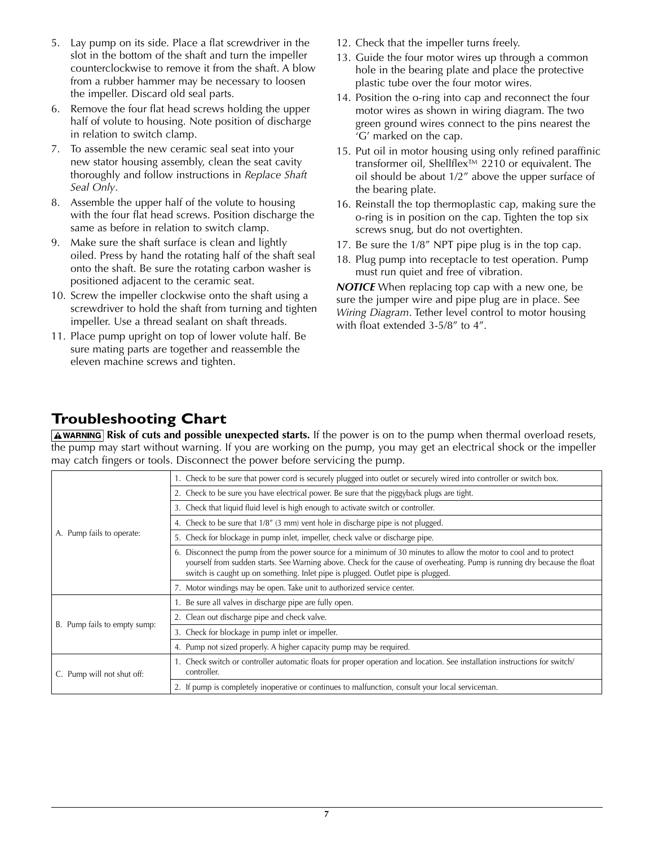- 5. Lay pump on its side. Place a flat screwdriver in the slot in the bottom of the shaft and turn the impeller counterclockwise to remove it from the shaft. A blow from a rubber hammer may be necessary to loosen the impeller. Discard old seal parts.
- 6. Remove the four flat head screws holding the upper half of volute to housing. Note position of discharge in relation to switch clamp.
- 7. To assemble the new ceramic seal seat into your new stator housing assembly, clean the seat cavity thoroughly and follow instructions in *Replace Shaft Seal Only*.
- 8. Assemble the upper half of the volute to housing with the four flat head screws. Position discharge the same as before in relation to switch clamp.
- 9. Make sure the shaft surface is clean and lightly oiled. Press by hand the rotating half of the shaft seal onto the shaft. Be sure the rotating carbon washer is positioned adjacent to the ceramic seat.
- 10. Screw the impeller clockwise onto the shaft using a screwdriver to hold the shaft from turning and tighten impeller. Use a thread sealant on shaft threads.
- 11. Place pump upright on top of lower volute half. Be sure mating parts are together and reassemble the eleven machine screws and tighten.
- 12. Check that the impeller turns freely.
- 13. Guide the four motor wires up through a common hole in the bearing plate and place the protective plastic tube over the four motor wires.
- 14. Position the o-ring into cap and reconnect the four motor wires as shown in wiring diagram. The two green ground wires connect to the pins nearest the 'G' marked on the cap.
- 15. Put oil in motor housing using only refined paraffinic transformer oil, Shellflex™ 2210 or equivalent. The oil should be about 1/2" above the upper surface of the bearing plate.
- 16. Reinstall the top thermoplastic cap, making sure the o-ring is in position on the cap. Tighten the top six screws snug, but do not overtighten.
- 17. Be sure the 1/8" NPT pipe plug is in the top cap.
- 18. Plug pump into receptacle to test operation. Pump must run quiet and free of vibration.

*NOTICE* When replacing top cap with a new one, be sure the jumper wire and pipe plug are in place. See *Wiring Diagram*. Tether level control to motor housing with float extended 3-5/8" to 4".

## **Troubleshooting Chart**

**Risk of cuts and possible unexpected starts.** If the power is on to the pump when thermal overload resets, the pump may start without warning. If you are working on the pump, you may get an electrical shock or the impeller may catch fingers or tools. Disconnect the power before servicing the pump.

| A. Pump fails to operate:    | 1. Check to be sure that power cord is securely plugged into outlet or securely wired into controller or switch box.                                                                                                                                                                                                                |  |  |  |
|------------------------------|-------------------------------------------------------------------------------------------------------------------------------------------------------------------------------------------------------------------------------------------------------------------------------------------------------------------------------------|--|--|--|
|                              | 2. Check to be sure you have electrical power. Be sure that the piggyback plugs are tight.                                                                                                                                                                                                                                          |  |  |  |
|                              | 3. Check that liquid fluid level is high enough to activate switch or controller.                                                                                                                                                                                                                                                   |  |  |  |
|                              | 4. Check to be sure that 1/8" (3 mm) vent hole in discharge pipe is not plugged.                                                                                                                                                                                                                                                    |  |  |  |
|                              | 5. Check for blockage in pump inlet, impeller, check valve or discharge pipe.                                                                                                                                                                                                                                                       |  |  |  |
|                              | 6. Disconnect the pump from the power source for a minimum of 30 minutes to allow the motor to cool and to protect<br>yourself from sudden starts. See Warning above. Check for the cause of overheating. Pump is running dry because the float<br>switch is caught up on something. Inlet pipe is plugged. Outlet pipe is plugged. |  |  |  |
|                              | 7. Motor windings may be open. Take unit to authorized service center.                                                                                                                                                                                                                                                              |  |  |  |
| B. Pump fails to empty sump: | 1. Be sure all valves in discharge pipe are fully open.                                                                                                                                                                                                                                                                             |  |  |  |
|                              | 2. Clean out discharge pipe and check valve.                                                                                                                                                                                                                                                                                        |  |  |  |
|                              | 3. Check for blockage in pump inlet or impeller.                                                                                                                                                                                                                                                                                    |  |  |  |
|                              | 4. Pump not sized properly. A higher capacity pump may be required.                                                                                                                                                                                                                                                                 |  |  |  |
| C. Pump will not shut off:   | 1. Check switch or controller automatic floats for proper operation and location. See installation instructions for switch/<br>controller.                                                                                                                                                                                          |  |  |  |
|                              | 2. If pump is completely inoperative or continues to malfunction, consult your local serviceman.                                                                                                                                                                                                                                    |  |  |  |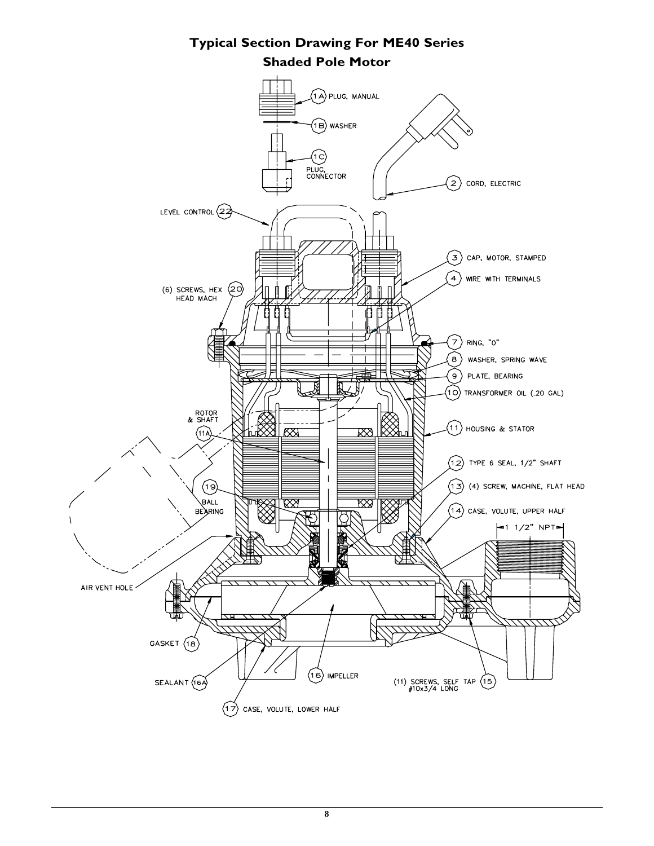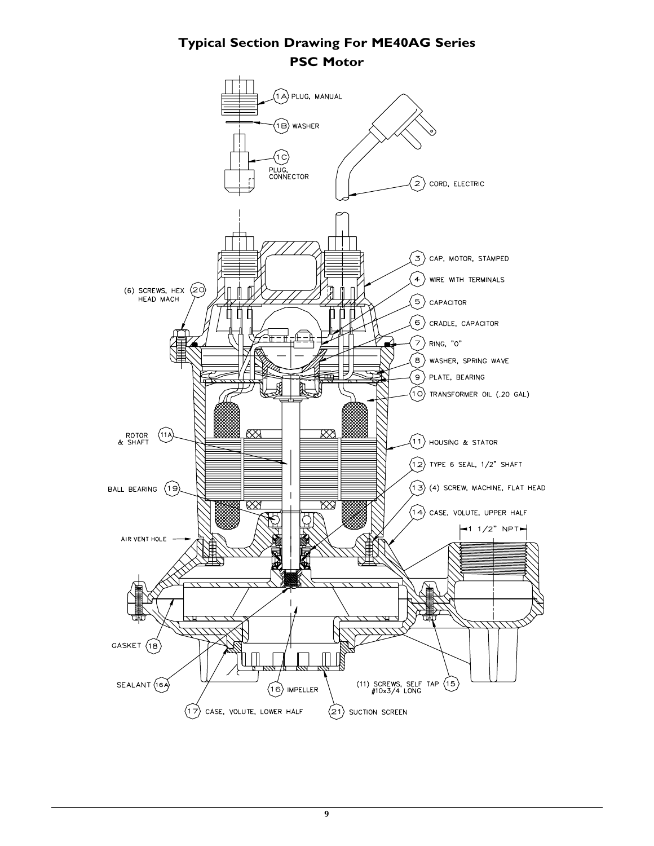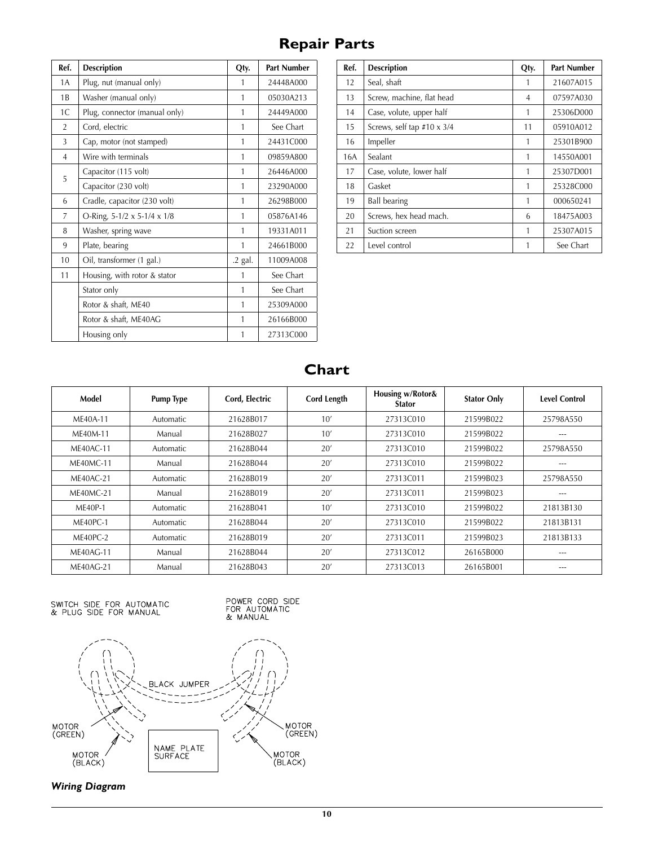# **Repair Parts**

| Ref.           | <b>Description</b>            | Qty.    | <b>Part Number</b> |
|----------------|-------------------------------|---------|--------------------|
| 1 A            | Plug, nut (manual only)       | 1       | 24448A000          |
| 1B             | Washer (manual only)          | 1       | 05030A213          |
| 1C             | Plug, connector (manual only) | 1       | 24449A000          |
| $\overline{2}$ | Cord, electric                | 1       | See Chart          |
| 3              | Cap, motor (not stamped)      | 1       | 24431C000          |
| 4              | Wire with terminals           | 1       | 09859A800          |
| 5              | Capacitor (115 volt)          |         | 26446A000          |
|                | Capacitor (230 volt)          | 1       | 23290A000          |
| 6              | Cradle, capacitor (230 volt)  | 1       | 26298B000          |
| 7              | O-Ring, 5-1/2 x 5-1/4 x 1/8   | 1       | 05876A146          |
| 8              | Washer, spring wave           | 1       | 19331A011          |
| 9              | Plate, bearing                | 1       | 24661B000          |
| 10             | Oil, transformer (1 gal.)     | .2 gal. | 11009A008          |
| 11             | Housing, with rotor & stator  | 1       | See Chart          |
|                | Stator only                   |         | See Chart          |
|                | Rotor & shaft, ME40           |         | 25309A000          |
|                | Rotor & shaft, ME40AG         |         | 26166B000          |
|                | Housing only                  | 1       | 27313C000          |

| Ref. | <b>Description</b>         | Qty. | <b>Part Number</b> |
|------|----------------------------|------|--------------------|
| 12   | Seal, shaft                |      | 21607A015          |
| 13   | Screw, machine, flat head  | 4    | 07597A030          |
| 14   | Case, volute, upper half   | 1    | 25306D000          |
| 15   | Screws, self tap #10 x 3/4 | 11   | 05910A012          |
| 16   | Impeller                   | 1    | 25301B900          |
| 16A  | Sealant                    | 1    | 14550A001          |
| 17   | Case, volute, lower half   | 1    | 25307D001          |
| 18   | Gasket                     | 1    | 25328C000          |
| 19   | <b>Ball bearing</b>        | 1    | 000650241          |
| 20   | Screws, hex head mach.     | 6    | 18475A003          |
| 21   | Suction screen             | 1    | 25307A015          |
| 22   | Level control              |      | See Chart          |

**Chart**

| Model            | <b>Pump Type</b> | Cord, Electric | <b>Cord Length</b> | Housing w/Rotor&<br><b>Stator</b> | <b>Stator Only</b> | <b>Level Control</b> |
|------------------|------------------|----------------|--------------------|-----------------------------------|--------------------|----------------------|
| ME40A-11         | Automatic        | 21628B017      | 10'                | 27313C010                         | 21599B022          | 25798A550            |
| MF40M-11         | Manual           | 21628B027      | 10'                | 27313C010                         | 21599B022          | ---                  |
| $MF40AC-11$      | Automatic        | 21628B044      | 20'                | 27313C010                         | 21599B022          | 25798A550            |
| <b>ME40MC-11</b> | Manual           | 21628B044      | 20'                | 27313C010                         | 21599B022          | ---                  |
| <b>ME40AC-21</b> | Automatic        | 21628B019      | 20'                | 27313C011                         | 21599B023          | 25798A550            |
| <b>ME40MC-21</b> | Manual           | 21628B019      | 20'                | 27313C011                         | 21599B023          | ---                  |
| ME40P-1          | Automatic        | 21628B041      | 10'                | 27313C010                         | 21599B022          | 21813B130            |
| ME40PC-1         | Automatic        | 21628B044      | 20'                | 27313C010                         | 21599B022          | 21813B131            |
| ME40PC-2         | Automatic        | 21628B019      | 20'                | 27313C011                         | 21599B023          | 21813B133            |
| ME40AG-11        | Manual           | 21628B044      | 20'                | 27313C012                         | 26165B000          | ---                  |
| <b>ME40AG-21</b> | Manual           | 21628B043      | 20'                | 27313C013                         | 26165B001          | $---$                |

SWITCH SIDE FOR AUTOMATIC<br>& PLUG SIDE FOR MANUAL





**Wiring Diagram**